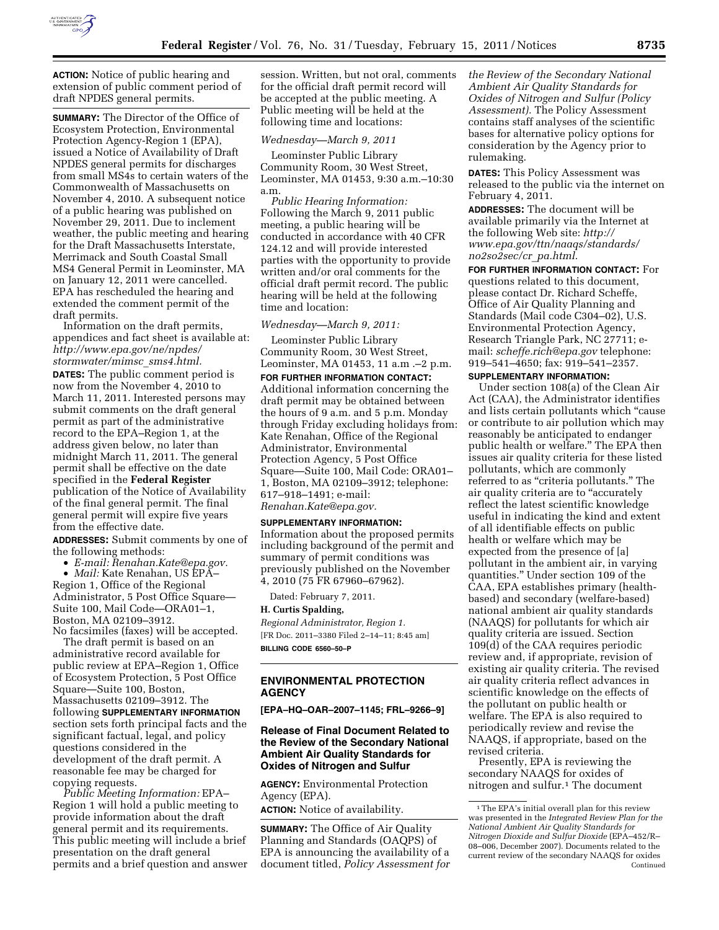

**ACTION:** Notice of public hearing and extension of public comment period of draft NPDES general permits.

**SUMMARY:** The Director of the Office of Ecosystem Protection, Environmental Protection Agency-Region 1 (EPA), issued a Notice of Availability of Draft NPDES general permits for discharges from small MS4s to certain waters of the Commonwealth of Massachusetts on November 4, 2010. A subsequent notice of a public hearing was published on November 29, 2011. Due to inclement weather, the public meeting and hearing for the Draft Massachusetts Interstate, Merrimack and South Coastal Small MS4 General Permit in Leominster, MA on January 12, 2011 were cancelled. EPA has rescheduled the hearing and extended the comment permit of the draft permits.

Information on the draft permits, appendices and fact sheet is available at: *[http://www.epa.gov/ne/npdes/](http://www.epa.gov/ne/npdes/stormwater/mimsc_sms4.html)  [stormwater/mimsc](http://www.epa.gov/ne/npdes/stormwater/mimsc_sms4.html)*\_*sms4.html.* 

**DATES:** The public comment period is now from the November 4, 2010 to March 11, 2011. Interested persons may submit comments on the draft general permit as part of the administrative record to the EPA–Region 1, at the address given below, no later than midnight March 11, 2011. The general permit shall be effective on the date specified in the **Federal Register**  publication of the Notice of Availability of the final general permit. The final general permit will expire five years from the effective date.

**ADDRESSES:** Submit comments by one of the following methods:

• *E-mail: [Renahan.Kate@epa.gov.](mailto:Renahan.Kate@epa.gov)* 

• *Mail:* Kate Renahan, US EPA– Region 1, Office of the Regional Administrator, 5 Post Office Square— Suite 100, Mail Code—ORA01–1, Boston, MA 02109–3912. No facsimiles (faxes) will be accepted.

The draft permit is based on an administrative record available for public review at EPA–Region 1, Office of Ecosystem Protection, 5 Post Office Square—Suite 100, Boston, Massachusetts 02109–3912. The following **SUPPLEMENTARY INFORMATION** section sets forth principal facts and the significant factual, legal, and policy questions considered in the development of the draft permit. A reasonable fee may be charged for copying requests.

*Public Meeting Information:* EPA– Region 1 will hold a public meeting to provide information about the draft general permit and its requirements. This public meeting will include a brief presentation on the draft general permits and a brief question and answer session. Written, but not oral, comments for the official draft permit record will be accepted at the public meeting. A Public meeting will be held at the following time and locations:

## *Wednesday—March 9, 2011*

Leominster Public Library Community Room, 30 West Street, Leominster, MA 01453, 9:30 a.m.–10:30 a.m.

*Public Hearing Information:*  Following the March 9, 2011 public meeting, a public hearing will be conducted in accordance with 40 CFR 124.12 and will provide interested parties with the opportunity to provide written and/or oral comments for the official draft permit record. The public hearing will be held at the following time and location:

#### *Wednesday—March 9, 2011:*

Leominster Public Library Community Room, 30 West Street, Leominster, MA 01453, 11 a.m .–2 p.m.

**FOR FURTHER INFORMATION CONTACT:**  Additional information concerning the draft permit may be obtained between the hours of 9 a.m. and 5 p.m. Monday through Friday excluding holidays from: Kate Renahan, Office of the Regional Administrator, Environmental Protection Agency, 5 Post Office Square—Suite 100, Mail Code: ORA01– 1, Boston, MA 02109–3912; telephone: 617–918–1491; e-mail: *[Renahan.Kate@epa.gov.](mailto:Renahan.Kate@epa.gov)* 

#### **SUPPLEMENTARY INFORMATION:**

Information about the proposed permits including background of the permit and summary of permit conditions was previously published on the November 4, 2010 (75 FR 67960–67962).

Dated: February 7, 2011.

#### **H. Curtis Spalding,**

*Regional Administrator, Region 1.*  [FR Doc. 2011–3380 Filed 2–14–11; 8:45 am] **BILLING CODE 6560–50–P** 

### **ENVIRONMENTAL PROTECTION AGENCY**

**[EPA–HQ–OAR–2007–1145; FRL–9266–9]** 

## **Release of Final Document Related to the Review of the Secondary National Ambient Air Quality Standards for Oxides of Nitrogen and Sulfur**

**AGENCY:** Environmental Protection Agency (EPA).

**ACTION:** Notice of availability.

**SUMMARY:** The Office of Air Quality Planning and Standards (OAQPS) of EPA is announcing the availability of a document titled, *Policy Assessment for*  *the Review of the Secondary National Ambient Air Quality Standards for Oxides of Nitrogen and Sulfur (Policy Assessment).* The Policy Assessment contains staff analyses of the scientific bases for alternative policy options for consideration by the Agency prior to rulemaking.

**DATES:** This Policy Assessment was released to the public via the internet on February 4, 2011.

**ADDRESSES:** The document will be available primarily via the Internet at the following Web site: *[http://](http://www.epa.gov/ttn/naaqs/standards/no2so2sec/cr_pa.html) [www.epa.gov/ttn/naaqs/standards/](http://www.epa.gov/ttn/naaqs/standards/no2so2sec/cr_pa.html)  [no2so2sec/cr](http://www.epa.gov/ttn/naaqs/standards/no2so2sec/cr_pa.html)*\_*pa.html.* 

**FOR FURTHER INFORMATION CONTACT:** For questions related to this document, please contact Dr. Richard Scheffe, Office of Air Quality Planning and Standards (Mail code C304–02), U.S. Environmental Protection Agency, Research Triangle Park, NC 27711; email: *[scheffe.rich@epa.gov](mailto:scheffe.rich@epa.gov)* telephone: 919–541–4650; fax: 919–541–2357.

# **SUPPLEMENTARY INFORMATION:**

Under section 108(a) of the Clean Air Act (CAA), the Administrator identifies and lists certain pollutants which "cause" or contribute to air pollution which may reasonably be anticipated to endanger public health or welfare.'' The EPA then issues air quality criteria for these listed pollutants, which are commonly referred to as "criteria pollutants." The air quality criteria are to "accurately" reflect the latest scientific knowledge useful in indicating the kind and extent of all identifiable effects on public health or welfare which may be expected from the presence of [a] pollutant in the ambient air, in varying quantities.'' Under section 109 of the CAA, EPA establishes primary (healthbased) and secondary (welfare-based) national ambient air quality standards (NAAQS) for pollutants for which air quality criteria are issued. Section 109(d) of the CAA requires periodic review and, if appropriate, revision of existing air quality criteria. The revised air quality criteria reflect advances in scientific knowledge on the effects of the pollutant on public health or welfare. The EPA is also required to periodically review and revise the NAAQS, if appropriate, based on the revised criteria.

Presently, EPA is reviewing the secondary NAAQS for oxides of nitrogen and sulfur.1 The document

<sup>1</sup>The EPA's initial overall plan for this review was presented in the *Integrated Review Plan for the National Ambient Air Quality Standards for Nitrogen Dioxide and Sulfur Dioxide* (EPA–452/R– 08–006, December 2007). Documents related to the current review of the secondary NAAQS for oxides Continued